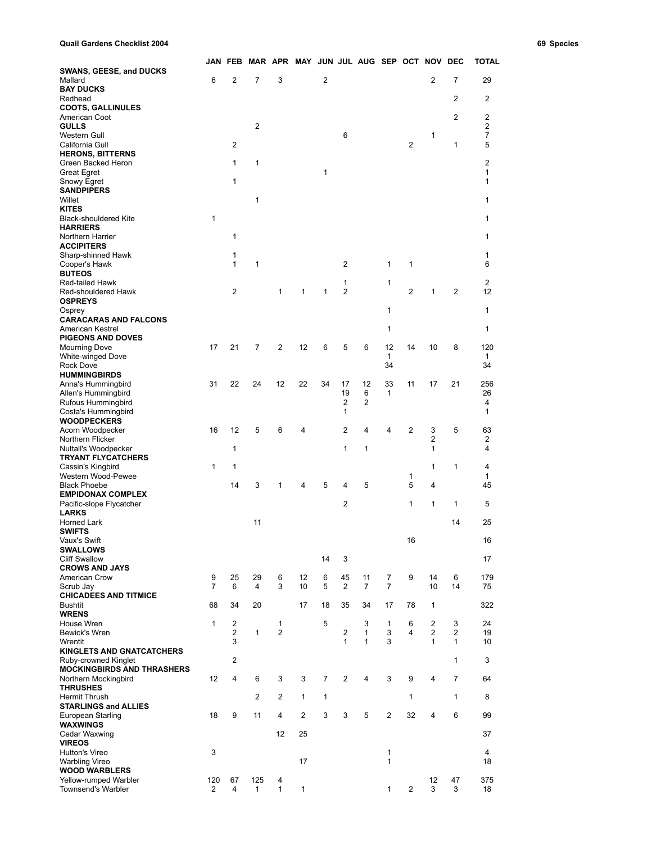**Quail Gardens Checklist 2004 69 Species**

|  | 69 Specie |
|--|-----------|
|  |           |

|                                                           |                       | JAN FEB        |                     |                | MAR APR MAY JUN JUL AUG SEP OCT NOV DEC |              |                     |                |                    |                |                |                | <b>TOTAL</b>         |
|-----------------------------------------------------------|-----------------------|----------------|---------------------|----------------|-----------------------------------------|--------------|---------------------|----------------|--------------------|----------------|----------------|----------------|----------------------|
| <b>SWANS, GEESE, and DUCKS</b>                            |                       |                |                     |                |                                         |              |                     |                |                    |                |                |                |                      |
| Mallard                                                   | 6                     | 2              | $\overline{7}$      | 3              |                                         | 2            |                     |                |                    |                | $\overline{2}$ | 7              | 29                   |
| <b>BAY DUCKS</b><br>Redhead                               |                       |                |                     |                |                                         |              |                     |                |                    |                |                | 2              | 2                    |
| <b>COOTS, GALLINULES</b>                                  |                       |                |                     |                |                                         |              |                     |                |                    |                |                |                |                      |
| American Coot                                             |                       |                |                     |                |                                         |              |                     |                |                    |                |                | 2              | 2                    |
| <b>GULLS</b>                                              |                       |                | $\overline{2}$      |                |                                         |              |                     |                |                    |                |                |                | 2                    |
| Western Gull                                              |                       |                |                     |                |                                         |              | 6                   |                |                    |                | 1              |                | 7                    |
| California Gull                                           |                       | 2              |                     |                |                                         |              |                     |                |                    | 2              |                | $\mathbf{1}$   | 5                    |
| <b>HERONS, BITTERNS</b><br>Green Backed Heron             |                       | 1              | 1                   |                |                                         |              |                     |                |                    |                |                |                | $\overline{2}$       |
| <b>Great Egret</b>                                        |                       |                |                     |                |                                         | 1            |                     |                |                    |                |                |                | 1                    |
| Snowy Egret                                               |                       | 1              |                     |                |                                         |              |                     |                |                    |                |                |                | 1                    |
| <b>SANDPIPERS</b>                                         |                       |                |                     |                |                                         |              |                     |                |                    |                |                |                |                      |
| Willet                                                    |                       |                | $\mathbf{1}$        |                |                                         |              |                     |                |                    |                |                |                | 1                    |
| <b>KITES</b>                                              | 1                     |                |                     |                |                                         |              |                     |                |                    |                |                |                | 1                    |
| <b>Black-shouldered Kite</b><br><b>HARRIERS</b>           |                       |                |                     |                |                                         |              |                     |                |                    |                |                |                |                      |
| Northern Harrier                                          |                       | 1              |                     |                |                                         |              |                     |                |                    |                |                |                | 1                    |
| <b>ACCIPITERS</b>                                         |                       |                |                     |                |                                         |              |                     |                |                    |                |                |                |                      |
| Sharp-shinned Hawk                                        |                       | 1              |                     |                |                                         |              |                     |                |                    |                |                |                | 1                    |
| Cooper's Hawk                                             |                       | 1              | 1                   |                |                                         |              | 2                   |                | 1                  | 1              |                |                | 6                    |
| <b>BUTEOS</b>                                             |                       |                |                     |                |                                         |              |                     |                |                    |                |                |                |                      |
| Red-tailed Hawk<br>Red-shouldered Hawk                    |                       | 2              |                     | 1              | $\mathbf{1}$                            | $\mathbf{1}$ | 1<br>$\overline{2}$ |                | 1                  | 2              | $\mathbf{1}$   | $\overline{2}$ | $\overline{2}$<br>12 |
| <b>OSPREYS</b>                                            |                       |                |                     |                |                                         |              |                     |                |                    |                |                |                |                      |
| Osprey                                                    |                       |                |                     |                |                                         |              |                     |                | $\mathbf{1}$       |                |                |                | 1                    |
| <b>CARACARAS AND FALCONS</b>                              |                       |                |                     |                |                                         |              |                     |                |                    |                |                |                |                      |
| American Kestrel                                          |                       |                |                     |                |                                         |              |                     |                | $\mathbf{1}$       |                |                |                | 1                    |
| <b>PIGEONS AND DOVES</b>                                  |                       |                |                     |                |                                         |              |                     |                |                    |                |                |                |                      |
| <b>Mourning Dove</b><br><b>White-winged Dove</b>          | 17                    | 21             | $\overline{7}$      | 2              | 12                                      | 6            | 5                   | 6              | 12<br>$\mathbf{1}$ | 14             | 10             | 8              | 120<br>1             |
| <b>Rock Dove</b>                                          |                       |                |                     |                |                                         |              |                     |                | 34                 |                |                |                | 34                   |
| <b>HUMMINGBIRDS</b>                                       |                       |                |                     |                |                                         |              |                     |                |                    |                |                |                |                      |
| Anna's Hummingbird                                        | 31                    | 22             | 24                  | 12             | 22                                      | 34           | 17                  | 12             | 33                 | 11             | 17             | 21             | 256                  |
| Allen's Hummingbird                                       |                       |                |                     |                |                                         |              | 19                  | 6              | 1                  |                |                |                | 26                   |
| Rufous Hummingbird                                        |                       |                |                     |                |                                         |              | 2                   | 2              |                    |                |                |                | 4                    |
| Costa's Hummingbird<br><b>WOODPECKERS</b>                 |                       |                |                     |                |                                         |              | 1                   |                |                    |                |                |                | 1                    |
| Acorn Woodpecker                                          | 16                    | 12             | 5                   | 6              | 4                                       |              | $\overline{2}$      | 4              | 4                  | 2              | 3              | 5              | 63                   |
| Northern Flicker                                          |                       |                |                     |                |                                         |              |                     |                |                    |                | $\overline{2}$ |                | 2                    |
| Nuttall's Woodpecker                                      |                       | 1              |                     |                |                                         |              | 1                   | 1              |                    |                | $\mathbf{1}$   |                | 4                    |
| <b>TRYANT FLYCATCHERS</b>                                 |                       |                |                     |                |                                         |              |                     |                |                    |                |                |                |                      |
| Cassin's Kingbird<br>Western Wood-Pewee                   | $\mathbf{1}$          | 1              |                     |                |                                         |              |                     |                |                    | 1              | $\mathbf{1}$   | 1              | 4<br>$\mathbf{1}$    |
| <b>Black Phoebe</b>                                       |                       | 14             | 3                   | 1              | 4                                       | 5            | 4                   | 5              |                    | 5              | 4              |                | 45                   |
| <b>EMPIDONAX COMPLEX</b>                                  |                       |                |                     |                |                                         |              |                     |                |                    |                |                |                |                      |
| Pacific-slope Flycatcher                                  |                       |                |                     |                |                                         |              | 2                   |                |                    | 1              | $\mathbf{1}$   | $\mathbf{1}$   | 5                    |
| <b>LARKS</b>                                              |                       |                |                     |                |                                         |              |                     |                |                    |                |                |                |                      |
| Horned Lark                                               |                       |                | 11                  |                |                                         |              |                     |                |                    |                |                | 14             | 25                   |
| <b>SWIFTS</b><br>Vaux's Swift                             |                       |                |                     |                |                                         |              |                     |                |                    | 16             |                |                | 16                   |
| <b>SWALLOWS</b>                                           |                       |                |                     |                |                                         |              |                     |                |                    |                |                |                |                      |
| <b>Cliff Swallow</b>                                      |                       |                |                     |                |                                         | 14           | 3                   |                |                    |                |                |                | 17                   |
| <b>CROWS AND JAYS</b>                                     |                       |                |                     |                |                                         |              |                     |                |                    |                |                |                |                      |
| American Crow                                             | 9                     | 25             | 29                  | 6              | 12                                      | 6            | 45                  | 11             | 7                  | 9              | 14             | 6              | 179                  |
| Scrub Jay                                                 | $\overline{7}$        | 6              | $\overline{4}$      | 3              | 10                                      | 5            | $\overline{2}$      | $\overline{7}$ | $\overline{7}$     |                | 10             | 14             | 75                   |
| <b>CHICADEES AND TITMICE</b><br><b>Bushtit</b>            | 68                    | 34             | 20                  |                | 17                                      | 18           | 35                  | 34             | 17                 | 78             | 1              |                | 322                  |
| <b>WRENS</b>                                              |                       |                |                     |                |                                         |              |                     |                |                    |                |                |                |                      |
| House Wren                                                | $\mathbf{1}$          | 2              |                     | $\mathbf{1}$   |                                         | 5            |                     | 3              | $\mathbf{1}$       | 6              | $\overline{2}$ | 3              | 24                   |
| Bewick's Wren                                             |                       | $\overline{2}$ | $\mathbf{1}$        | $\overline{2}$ |                                         |              | 2                   | 1              | 3                  | 4              | $\overline{2}$ | 2              | 19                   |
| Wrentit                                                   |                       | 3              |                     |                |                                         |              | 1                   | 1              | 3                  |                | $\mathbf{1}$   | $\mathbf{1}$   | 10                   |
| <b>KINGLETS AND GNATCATCHERS</b>                          |                       | 2              |                     |                |                                         |              |                     |                |                    |                |                | $\mathbf{1}$   | 3                    |
| Ruby-crowned Kinglet<br><b>MOCKINGBIRDS AND THRASHERS</b> |                       |                |                     |                |                                         |              |                     |                |                    |                |                |                |                      |
| Northern Mockingbird                                      | 12                    | 4              | 6                   | 3              | 3                                       | 7            | 2                   | 4              | 3                  | 9              | 4              | $\overline{7}$ | 64                   |
| <b>THRUSHES</b>                                           |                       |                |                     |                |                                         |              |                     |                |                    |                |                |                |                      |
| <b>Hermit Thrush</b>                                      |                       |                | $\overline{2}$      | 2              | 1                                       | 1            |                     |                |                    | 1              |                | 1              | 8                    |
| <b>STARLINGS and ALLIES</b>                               |                       |                |                     |                |                                         |              |                     |                |                    |                |                |                |                      |
| European Starling                                         | 18                    | 9              | 11                  | 4              | $\overline{2}$                          | 3            | 3                   | 5              | $\overline{2}$     | 32             | 4              | 6              | 99                   |
| <b>WAXWINGS</b><br>Cedar Waxwing                          |                       |                |                     | 12             | 25                                      |              |                     |                |                    |                |                |                | 37                   |
| <b>VIREOS</b>                                             |                       |                |                     |                |                                         |              |                     |                |                    |                |                |                |                      |
| Hutton's Vireo                                            | 3                     |                |                     |                |                                         |              |                     |                | $\mathbf{1}$       |                |                |                | 4                    |
| <b>Warbling Vireo</b>                                     |                       |                |                     |                | 17                                      |              |                     |                | 1                  |                |                |                | 18                   |
| <b>WOOD WARBLERS</b>                                      |                       |                |                     |                |                                         |              |                     |                |                    |                |                |                |                      |
| Yellow-rumped Warbler<br><b>Townsend's Warbler</b>        | 120<br>$\overline{2}$ | 67<br>4        | 125<br>$\mathbf{1}$ | 4<br>1         | $\mathbf{1}$                            |              |                     |                | $\mathbf{1}$       | $\overline{2}$ | 12<br>3        | 47<br>3        | 375<br>18            |
|                                                           |                       |                |                     |                |                                         |              |                     |                |                    |                |                |                |                      |